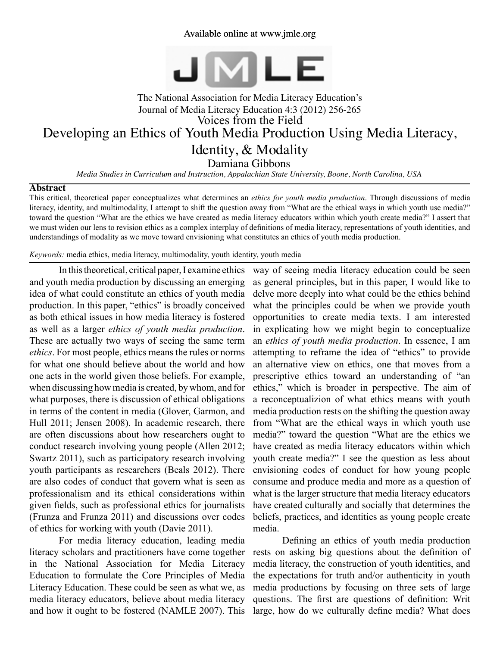### Available online at www.jmle.org



# The National Association for Media Literacy Education's Journal of Media Literacy Education 4:3 (2012) 256-265 Developing an Ethics of Youth Media Production Using Media Literacy, Identity, & Modality Voices from the Field

Damiana Gibbons

*Media Studies in Curriculum and Instruction, Appalachian State University, Boone, North Carolina, USA*

#### **Abstract**

This critical, theoretical paper conceptualizes what determines an *ethics for youth media production*. Through discussions of media literacy, identity, and multimodality, I attempt to shift the question away from "What are the ethical ways in which youth use media?" toward the question "What are the ethics we have created as media literacy educators within which youth create media?" I assert that we must widen our lens to revision ethics as a complex interplay of definitions of media literacy, representations of youth identities, and understandings of modality as we move toward envisioning what constitutes an ethics of youth media production.

*Keywords:* media ethics, media literacy, multimodality, youth identity, youth media

In this theoretical, critical paper, I examine ethics and youth media production by discussing an emerging idea of what could constitute an ethics of youth media production. In this paper, "ethics" is broadly conceived as both ethical issues in how media literacy is fostered as well as a larger *ethics of youth media production*. These are actually two ways of seeing the same term *ethics*. For most people, ethics means the rules or norms for what one should believe about the world and how one acts in the world given those beliefs. For example, when discussing how media is created, by whom, and for what purposes, there is discussion of ethical obligations in terms of the content in media (Glover, Garmon, and Hull 2011; Jensen 2008). In academic research, there are often discussions about how researchers ought to conduct research involving young people (Allen 2012; Swartz 2011), such as participatory research involving youth participants as researchers (Beals 2012). There are also codes of conduct that govern what is seen as professionalism and its ethical considerations within given fields, such as professional ethics for journalists (Frunza and Frunza 2011) and discussions over codes of ethics for working with youth (Davie 2011).

For media literacy education, leading media literacy scholars and practitioners have come together in the National Association for Media Literacy Education to formulate the Core Principles of Media Literacy Education. These could be seen as what we, as media literacy educators, believe about media literacy and how it ought to be fostered (NAMLE 2007). This

way of seeing media literacy education could be seen as general principles, but in this paper, I would like to delve more deeply into what could be the ethics behind what the principles could be when we provide youth opportunities to create media texts. I am interested in explicating how we might begin to conceptualize an *ethics of youth media production*. In essence, I am attempting to reframe the idea of "ethics" to provide an alternative view on ethics, one that moves from a prescriptive ethics toward an understanding of "an ethics," which is broader in perspective. The aim of a reconceptualizion of what ethics means with youth media production rests on the shifting the question away from "What are the ethical ways in which youth use media?" toward the question "What are the ethics we have created as media literacy educators within which youth create media?" I see the question as less about envisioning codes of conduct for how young people consume and produce media and more as a question of what is the larger structure that media literacy educators have created culturally and socially that determines the beliefs, practices, and identities as young people create media.

Defining an ethics of youth media production rests on asking big questions about the definition of media literacy, the construction of youth identities, and the expectations for truth and/or authenticity in youth media productions by focusing on three sets of large questions. The first are questions of definition: Writ large, how do we culturally define media? What does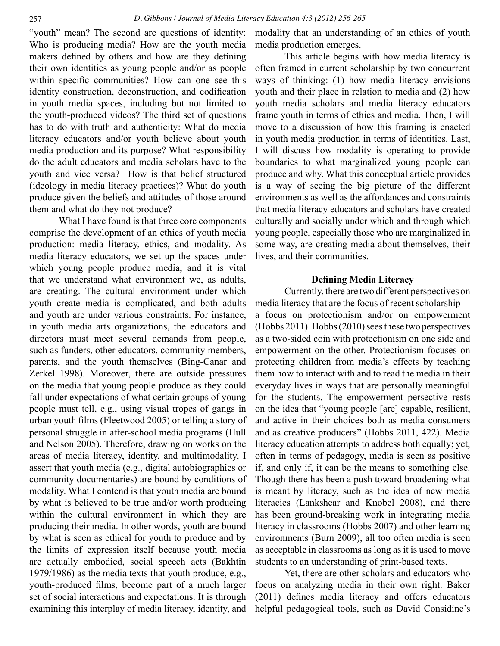"youth" mean? The second are questions of identity: Who is producing media? How are the youth media makers defined by others and how are they defining their own identities as young people and/or as people within specific communities? How can one see this identity construction, deconstruction, and codification in youth media spaces, including but not limited to the youth-produced videos? The third set of questions has to do with truth and authenticity: What do media literacy educators and/or youth believe about youth media production and its purpose? What responsibility do the adult educators and media scholars have to the youth and vice versa? How is that belief structured (ideology in media literacy practices)? What do youth produce given the beliefs and attitudes of those around them and what do they not produce?

What I have found is that three core components comprise the development of an ethics of youth media production: media literacy, ethics, and modality. As media literacy educators, we set up the spaces under which young people produce media, and it is vital that we understand what environment we, as adults, are creating. The cultural environment under which youth create media is complicated, and both adults and youth are under various constraints. For instance, in youth media arts organizations, the educators and directors must meet several demands from people, such as funders, other educators, community members, parents, and the youth themselves (Bing-Canar and Zerkel 1998). Moreover, there are outside pressures on the media that young people produce as they could fall under expectations of what certain groups of young people must tell, e.g., using visual tropes of gangs in urban youth films (Fleetwood 2005) or telling a story of personal struggle in after-school media programs (Hull and Nelson 2005). Therefore, drawing on works on the areas of media literacy, identity, and multimodality, I assert that youth media (e.g., digital autobiographies or community documentaries) are bound by conditions of modality. What I contend is that youth media are bound by what is believed to be true and/or worth producing within the cultural environment in which they are producing their media. In other words, youth are bound by what is seen as ethical for youth to produce and by the limits of expression itself because youth media are actually embodied, social speech acts (Bakhtin 1979/1986) as the media texts that youth produce, e.g., youth-produced films, become part of a much larger set of social interactions and expectations. It is through examining this interplay of media literacy, identity, and modality that an understanding of an ethics of youth media production emerges.

This article begins with how media literacy is often framed in current scholarship by two concurrent ways of thinking: (1) how media literacy envisions youth and their place in relation to media and (2) how youth media scholars and media literacy educators frame youth in terms of ethics and media. Then, I will move to a discussion of how this framing is enacted in youth media production in terms of identities. Last, I will discuss how modality is operating to provide boundaries to what marginalized young people can produce and why. What this conceptual article provides is a way of seeing the big picture of the different environments as well as the affordances and constraints that media literacy educators and scholars have created culturally and socially under which and through which young people, especially those who are marginalized in some way, are creating media about themselves, their lives, and their communities.

#### **Defining Media Literacy**

Currently, there are two different perspectives on media literacy that are the focus of recent scholarship a focus on protectionism and/or on empowerment (Hobbs 2011). Hobbs (2010) sees these two perspectives as a two-sided coin with protectionism on one side and empowerment on the other. Protectionism focuses on protecting children from media's effects by teaching them how to interact with and to read the media in their everyday lives in ways that are personally meaningful for the students. The empowerment persective rests on the idea that "young people [are] capable, resilient, and active in their choices both as media consumers and as creative producers" (Hobbs 2011, 422). Media literacy education attempts to address both equally; yet, often in terms of pedagogy, media is seen as positive if, and only if, it can be the means to something else. Though there has been a push toward broadening what is meant by literacy, such as the idea of new media literacies (Lankshear and Knobel 2008), and there has been ground-breaking work in integrating media literacy in classrooms (Hobbs 2007) and other learning environments (Burn 2009), all too often media is seen as acceptable in classrooms as long as it is used to move students to an understanding of print-based texts.

Yet, there are other scholars and educators who focus on analyzing media in their own right. Baker (2011) defines media literacy and offers educators helpful pedagogical tools, such as David Considine's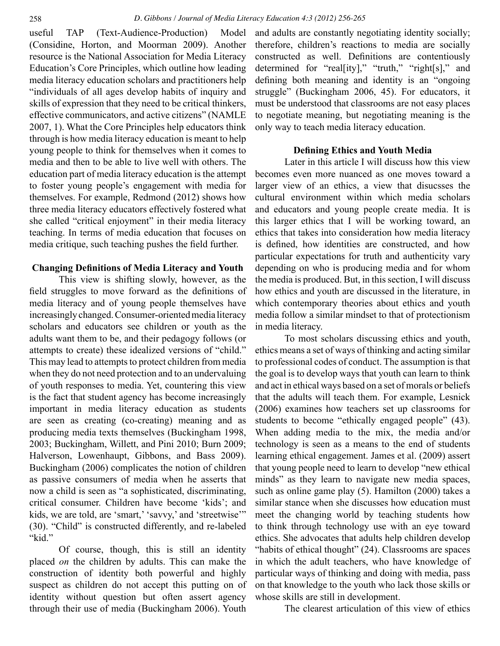useful TAP (Text-Audience-Production) Model (Considine, Horton, and Moorman 2009). Another resource is the National Association for Media Literacy Education's Core Principles, which outline how leading media literacy education scholars and practitioners help "individuals of all ages develop habits of inquiry and skills of expression that they need to be critical thinkers, effective communicators, and active citizens" (NAMLE 2007, 1). What the Core Principles help educators think through is how media literacy education is meant to help young people to think for themselves when it comes to media and then to be able to live well with others. The education part of media literacy education is the attempt to foster young people's engagement with media for themselves. For example, Redmond (2012) shows how three media literacy educators effectively fostered what she called "critical enjoyment" in their media literacy teaching. In terms of media education that focuses on media critique, such teaching pushes the field further.

#### **Changing Definitions of Media Literacy and Youth**

This view is shifting slowly, however, as the field struggles to move forward as the definitions of media literacy and of young people themselves have increasingly changed. Consumer-oriented media literacy scholars and educators see children or youth as the adults want them to be, and their pedagogy follows (or attempts to create) these idealized versions of "child." This may lead to attempts to protect children from media when they do not need protection and to an undervaluing of youth responses to media. Yet, countering this view is the fact that student agency has become increasingly important in media literacy education as students are seen as creating (co-creating) meaning and as producing media texts themselves (Buckingham 1998, 2003; Buckingham, Willett, and Pini 2010; Burn 2009; Halverson, Lowenhaupt, Gibbons, and Bass 2009). Buckingham (2006) complicates the notion of children as passive consumers of media when he asserts that now a child is seen as "a sophisticated, discriminating, critical consumer. Children have become 'kids'; and kids, we are told, are 'smart,' 'savvy,' and 'streetwise'" (30). "Child" is constructed differently, and re-labeled "kid."

Of course, though, this is still an identity placed *on* the children by adults. This can make the construction of identity both powerful and highly suspect as children do not accept this putting on of identity without question but often assert agency through their use of media (Buckingham 2006). Youth and adults are constantly negotiating identity socially; therefore, children's reactions to media are socially constructed as well. Definitions are contentiously determined for "real[ity]," "truth," "right[s]," and defining both meaning and identity is an "ongoing struggle" (Buckingham 2006, 45). For educators, it must be understood that classrooms are not easy places to negotiate meaning, but negotiating meaning is the only way to teach media literacy education.

#### **Defining Ethics and Youth Media**

Later in this article I will discuss how this view becomes even more nuanced as one moves toward a larger view of an ethics, a view that disucsses the cultural environment within which media scholars and educators and young people create media. It is this larger ethics that I will be working toward, an ethics that takes into consideration how media literacy is defined, how identities are constructed, and how particular expectations for truth and authenticity vary depending on who is producing media and for whom the media is produced. But, in this section, I will discuss how ethics and youth are discussed in the literature, in which contemporary theories about ethics and youth media follow a similar mindset to that of protectionism in media literacy.

To most scholars discussing ethics and youth, ethics means a set of ways of thinking and acting similar to professional codes of conduct. The assumption is that the goal is to develop ways that youth can learn to think and act in ethical ways based on a set of morals or beliefs that the adults will teach them. For example, Lesnick (2006) examines how teachers set up classrooms for students to become "ethically engaged people" (43). When adding media to the mix, the media and/or technology is seen as a means to the end of students learning ethical engagement. James et al. (2009) assert that young people need to learn to develop "new ethical minds" as they learn to navigate new media spaces, such as online game play (5). Hamilton (2000) takes a similar stance when she discusses how education must meet the changing world by teaching students how to think through technology use with an eye toward ethics. She advocates that adults help children develop "habits of ethical thought" (24). Classrooms are spaces in which the adult teachers, who have knowledge of particular ways of thinking and doing with media, pass on that knowledge to the youth who lack those skills or whose skills are still in development.

The clearest articulation of this view of ethics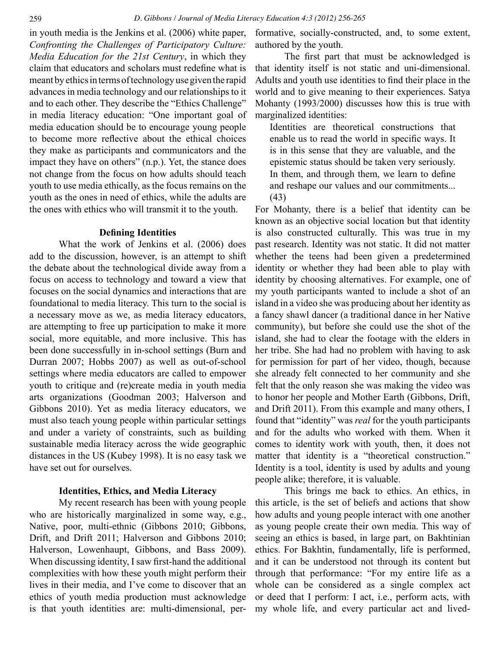in youth media is the Jenkins et al. (2006) white paper, *Confronting the Challenges of Participatory Culture: Media Education for the 21st Century*, in which they claim that educators and scholars must redefine what is meant by ethics in terms of technology use given the rapid advances in media technology and our relationships to it and to each other. They describe the "Ethics Challenge" in media literacy education: "One important goal of media education should be to encourage young people to become more reflective about the ethical choices they make as participants and communicators and the impact they have on others" (n.p.). Yet, the stance does not change from the focus on how adults should teach youth to use media ethically, as the focus remains on the youth as the ones in need of ethics, while the adults are the ones with ethics who will transmit it to the youth.

#### **Defining Identities**

What the work of Jenkins et al. (2006) does add to the discussion, however, is an attempt to shift the debate about the technological divide away from a focus on access to technology and toward a view that focuses on the social dynamics and interactions that are foundational to media literacy. This turn to the social is a necessary move as we, as media literacy educators, are attempting to free up participation to make it more social, more equitable, and more inclusive. This has been done successfully in in-school settings (Burn and Durran 2007; Hobbs 2007) as well as out-of-school settings where media educators are called to empower youth to critique and (re)create media in youth media arts organizations (Goodman 2003; Halverson and Gibbons 2010). Yet as media literacy educators, we must also teach young people within particular settings and under a variety of constraints, such as building sustainable media literacy across the wide geographic distances in the US (Kubey 1998). It is no easy task we have set out for ourselves.

#### **Identities, Ethics, and Media Literacy**

My recent research has been with young people who are historically marginalized in some way, e.g., Native, poor, multi-ethnic (Gibbons 2010; Gibbons, Drift, and Drift 2011; Halverson and Gibbons 2010; Halverson, Lowenhaupt, Gibbons, and Bass 2009). When discussing identity, I saw first-hand the additional complexities with how these youth might perform their lives in their media, and I've come to discover that an ethics of youth media production must acknowledge is that youth identities are: multi-dimensional, performative, socially-constructed, and, to some extent, authored by the youth.

The first part that must be acknowledged is that identity itself is not static and uni-dimensional. Adults and youth use identities to find their place in the world and to give meaning to their experiences. Satya Mohanty (1993/2000) discusses how this is true with marginalized identities:

Identities are theoretical constructions that enable us to read the world in specific ways. It is in this sense that they are valuable, and the epistemic status should be taken very seriously. In them, and through them, we learn to define and reshape our values and our commitments... (43)

For Mohanty, there is a belief that identity can be known as an objective social location but that identity is also constructed culturally. This was true in my past research. Identity was not static. It did not matter whether the teens had been given a predetermined identity or whether they had been able to play with identity by choosing alternatives. For example, one of my youth participants wanted to include a shot of an island in a video she was producing about her identity as a fancy shawl dancer (a traditional dance in her Native community), but before she could use the shot of the island, she had to clear the footage with the elders in her tribe. She had had no problem with having to ask for permission for part of her video, though, because she already felt connected to her community and she felt that the only reason she was making the video was to honor her people and Mother Earth (Gibbons, Drift, and Drift 2011). From this example and many others, I found that "identity" was *real* for the youth participants and for the adults who worked with them. When it comes to identity work with youth, then, it does not matter that identity is a "theoretical construction." Identity is a tool, identity is used by adults and young people alike; therefore, it is valuable.

This brings me back to ethics. An ethics, in this article, is the set of beliefs and actions that show how adults and young people interact with one another as young people create their own media. This way of seeing an ethics is based, in large part, on Bakhtinian ethics. For Bakhtin, fundamentally, life is performed, and it can be understood not through its content but through that performance: "For my entire life as a whole can be considered as a single complex act or deed that I perform: I act, i.e., perform acts, with my whole life, and every particular act and lived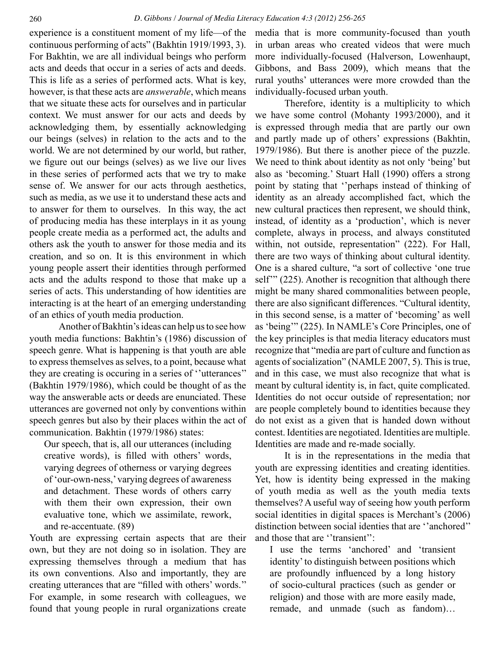continuous performing of acts" (Bakhtin 1919/1993, 3). For Bakhtin, we are all individual beings who perform acts and deeds that occur in a series of acts and deeds. This is life as a series of performed acts. What is key, however, is that these acts are *answerable*, which means that we situate these acts for ourselves and in particular context. We must answer for our acts and deeds by acknowledging them, by essentially acknowledging our beings (selves) in relation to the acts and to the world. We are not determined by our world, but rather, we figure out our beings (selves) as we live our lives in these series of performed acts that we try to make sense of. We answer for our acts through aesthetics, such as media, as we use it to understand these acts and to answer for them to ourselves. In this way, the act of producing media has these interplays in it as young people create media as a performed act, the adults and others ask the youth to answer for those media and its creation, and so on. It is this environment in which young people assert their identities through performed acts and the adults respond to those that make up a series of acts. This understanding of how identities are interacting is at the heart of an emerging understanding of an ethics of youth media production.

Another of Bakhtin's ideas can help us to see how youth media functions: Bakhtin's (1986) discussion of speech genre. What is happening is that youth are able to express themselves as selves, to a point, because what they are creating is occuring in a series of ''utterances'' (Bakhtin 1979/1986), which could be thought of as the way the answerable acts or deeds are enunciated. These utterances are governed not only by conventions within speech genres but also by their places within the act of communication. Bakhtin (1979/1986) states:

Our speech, that is, all our utterances (including creative words), is filled with others' words, varying degrees of otherness or varying degrees of 'our-own-ness,' varying degrees of awareness and detachment. These words of others carry with them their own expression, their own evaluative tone, which we assimilate, rework, and re-accentuate. (89)

Youth are expressing certain aspects that are their own, but they are not doing so in isolation. They are expressing themselves through a medium that has its own conventions. Also and importantly, they are creating utterances that are "filled with others' words.'' For example, in some research with colleagues, we found that young people in rural organizations create

experience is a constituent moment of my life—of the media that is more community-focused than youth in urban areas who created videos that were much more individually-focused (Halverson, Lowenhaupt, Gibbons, and Bass 2009), which means that the rural youths' utterances were more crowded than the individually-focused urban youth.

> Therefore, identity is a multiplicity to which we have some control (Mohanty 1993/2000), and it is expressed through media that are partly our own and partly made up of others' expressions (Bakhtin, 1979/1986). But there is another piece of the puzzle. We need to think about identity as not only 'being' but also as 'becoming.' Stuart Hall (1990) offers a strong point by stating that ''perhaps instead of thinking of identity as an already accomplished fact, which the new cultural practices then represent, we should think, instead, of identity as a 'production', which is never complete, always in process, and always constituted within, not outside, representation" (222). For Hall, there are two ways of thinking about cultural identity. One is a shared culture, "a sort of collective 'one true self<sup>"</sup> (225). Another is recognition that although there might be many shared commonalities between people, there are also significant differences. "Cultural identity, in this second sense, is a matter of 'becoming' as well as 'being'" (225). In NAMLE's Core Principles, one of the key principles is that media literacy educators must recognize that "media are part of culture and function as agents of socialization" (NAMLE 2007, 5). This is true, and in this case, we must also recognize that what is meant by cultural identity is, in fact, quite complicated. Identities do not occur outside of representation; nor are people completely bound to identities because they do not exist as a given that is handed down without contest. Identities are negotiated. Identities are multiple. Identities are made and re-made socially.

> It is in the representations in the media that youth are expressing identities and creating identities. Yet, how is identity being expressed in the making of youth media as well as the youth media texts themselves? A useful way of seeing how youth perform social identities in digital spaces is Merchant's (2006) distinction between social identies that are ''anchored'' and those that are ''transient'':

I use the terms 'anchored' and 'transient identity' to distinguish between positions which are profoundly influenced by a long history of socio-cultural practices (such as gender or religion) and those with are more easily made, remade, and unmade (such as fandom)…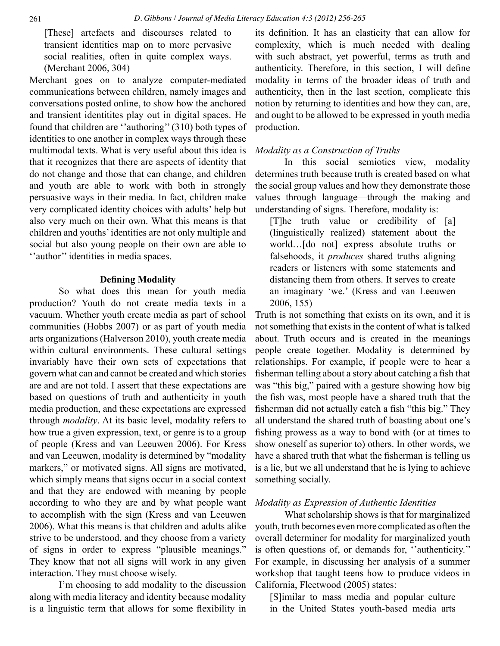[These] artefacts and discourses related to transient identities map on to more pervasive social realities, often in quite complex ways. (Merchant 2006, 304)

Merchant goes on to analyze computer-mediated communications between children, namely images and conversations posted online, to show how the anchored and transient identitites play out in digital spaces. He found that children are ''authoring'' (310) both types of identities to one another in complex ways through these multimodal texts. What is very useful about this idea is that it recognizes that there are aspects of identity that do not change and those that can change, and children and youth are able to work with both in strongly persuasive ways in their media. In fact, children make very complicated identity choices with adults' help but also very much on their own. What this means is that children and youths' identities are not only multiple and social but also young people on their own are able to ''author'' identities in media spaces.

#### **Defining Modality**

So what does this mean for youth media production? Youth do not create media texts in a vacuum. Whether youth create media as part of school communities (Hobbs 2007) or as part of youth media arts organizations (Halverson 2010), youth create media within cultural environments. These cultural settings invariably have their own sets of expectations that govern what can and cannot be created and which stories are and are not told. I assert that these expectations are based on questions of truth and authenticity in youth media production, and these expectations are expressed through *modality*. At its basic level, modality refers to how true a given expression, text, or genre is to a group of people (Kress and van Leeuwen 2006). For Kress and van Leeuwen, modality is determined by "modality markers," or motivated signs. All signs are motivated, which simply means that signs occur in a social context and that they are endowed with meaning by people according to who they are and by what people want to accomplish with the sign (Kress and van Leeuwen 2006). What this means is that children and adults alike strive to be understood, and they choose from a variety of signs in order to express "plausible meanings." They know that not all signs will work in any given interaction. They must choose wisely.

I'm choosing to add modality to the discussion along with media literacy and identity because modality is a linguistic term that allows for some flexibility in its definition. It has an elasticity that can allow for complexity, which is much needed with dealing with such abstract, yet powerful, terms as truth and authenticity. Therefore, in this section, I will define modality in terms of the broader ideas of truth and authenticity, then in the last section, complicate this notion by returning to identities and how they can, are, and ought to be allowed to be expressed in youth media production.

#### *Modality as a Construction of Truths*

In this social semiotics view, modality determines truth because truth is created based on what the social group values and how they demonstrate those values through language—through the making and understanding of signs. Therefore, modality is:

[T]he truth value or credibility of [a] (linguistically realized) statement about the world…[do not] express absolute truths or falsehoods, it *produces* shared truths aligning readers or listeners with some statements and distancing them from others. It serves to create an imaginary 'we.' (Kress and van Leeuwen 2006, 155)

Truth is not something that exists on its own, and it is not something that exists in the content of what is talked about. Truth occurs and is created in the meanings people create together. Modality is determined by relationships. For example, if people were to hear a fisherman telling about a story about catching a fish that was "this big," paired with a gesture showing how big the fish was, most people have a shared truth that the fisherman did not actually catch a fish "this big." They all understand the shared truth of boasting about one's fishing prowess as a way to bond with (or at times to show oneself as superior to) others. In other words, we have a shared truth that what the fisherman is telling us is a lie, but we all understand that he is lying to achieve something socially.

#### *Modality as Expression of Authentic Identities*

What scholarship shows is that for marginalized youth, truth becomes even more complicated as often the overall determiner for modality for marginalized youth is often questions of, or demands for, ''authenticity.'' For example, in discussing her analysis of a summer workshop that taught teens how to produce videos in California, Fleetwood (2005) states:

[S]imilar to mass media and popular culture in the United States youth-based media arts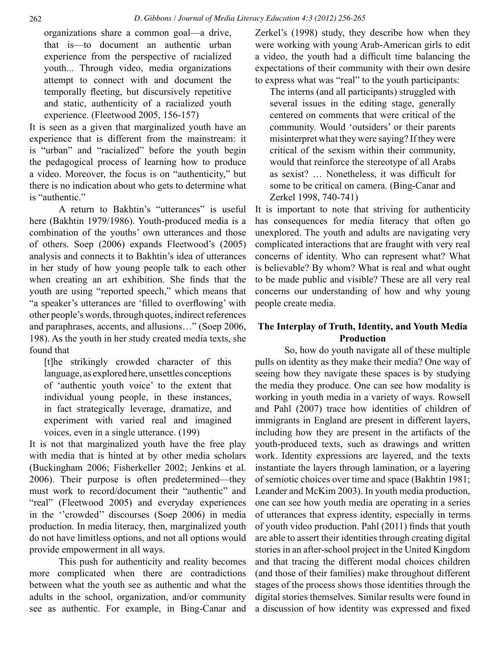organizations share a common goal—a drive, that is—to document an authentic urban experience from the perspective of racialized youth... Through video, media organizations attempt to connect with and document the temporally fleeting, but discursively repetitive and static, authenticity of a racialized youth experience. (Fleetwood 2005, 156-157)

It is seen as a given that marginalized youth have an experience that is different from the mainstream: it is "urban" and "racialized" before the youth begin the pedagogical process of learning how to produce a video. Moreover, the focus is on "authenticity," but there is no indication about who gets to determine what is "authentic."

A return to Bakhtin's "utterances" is useful here (Bakhtin 1979/1986). Youth-produced media is a combination of the youths' own utterances and those of others. Soep (2006) expands Fleetwood's (2005) analysis and connects it to Bakhtin's idea of utterances in her study of how young people talk to each other when creating an art exhibition. She finds that the youth are using "reported speech," which means that "a speaker's utterances are 'filled to overflowing' with other people's words, through quotes, indirect references and paraphrases, accents, and allusions…" (Soep 2006, 198). As the youth in her study created media texts, she found that

[t]he strikingly crowded character of this language, as explored here, unsettles conceptions of 'authentic youth voice' to the extent that individual young people, in these instances, in fact strategically leverage, dramatize, and experiment with varied real and imagined voices, even in a single utterance. (199)

It is not that marginalized youth have the free play with media that is hinted at by other media scholars (Buckingham 2006; Fisherkeller 2002; Jenkins et al. 2006). Their purpose is often predetermined—they must work to record/document their "authentic" and "real" (Fleetwood 2005) and everyday experiences in the ''crowded'' discourses (Soep 2006) in media production. In media literacy, then, marginalized youth do not have limitless options, and not all options would provide empowerment in all ways.

This push for authenticity and reality becomes more complicated when there are contradictions between what the youth see as authentic and what the adults in the school, organization, and/or community see as authentic. For example, in Bing-Canar and Zerkel's (1998) study, they describe how when they were working with young Arab-American girls to edit a video, the youth had a difficult time balancing the expectations of their community with their own desire to express what was "real" to the youth participants:

The interns (and all participants) struggled with several issues in the editing stage, generally centered on comments that were critical of the community. Would 'outsiders' or their parents misinterpret what they were saying? If they were critical of the sexism within their community, would that reinforce the stereotype of all Arabs as sexist? … Nonetheless, it was difficult for some to be critical on camera. (Bing-Canar and Zerkel 1998, 740-741)

It is important to note that striving for authenticity has consequences for media literacy that often go unexplored. The youth and adults are navigating very complicated interactions that are fraught with very real concerns of identity. Who can represent what? What is believable? By whom? What is real and what ought to be made public and visible? These are all very real concerns our understanding of how and why young people create media.

## **The Interplay of Truth, Identity, and Youth Media Production**

So, how do youth navigate all of these multiple pulls on identity as they make their media? One way of seeing how they navigate these spaces is by studying the media they produce. One can see how modality is working in youth media in a variety of ways. Rowsell and Pahl (2007) trace how identities of children of immigrants in England are present in different layers, including how they are present in the artifacts of the youth-produced texts, such as drawings and written work. Identity expressions are layered, and the texts instantiate the layers through lamination, or a layering of semiotic choices over time and space (Bakhtin 1981; Leander and McKim 2003). In youth media production, one can see how youth media are operating in a series of utterances that express identity, especially in terms of youth video production. Pahl (2011) finds that youth are able to assert their identities through creating digital stories in an after-school project in the United Kingdom and that tracing the different modal choices children (and those of their families) make throughout different stages of the process shows those identities through the digital stories themselves. Similar results were found in a discussion of how identity was expressed and fixed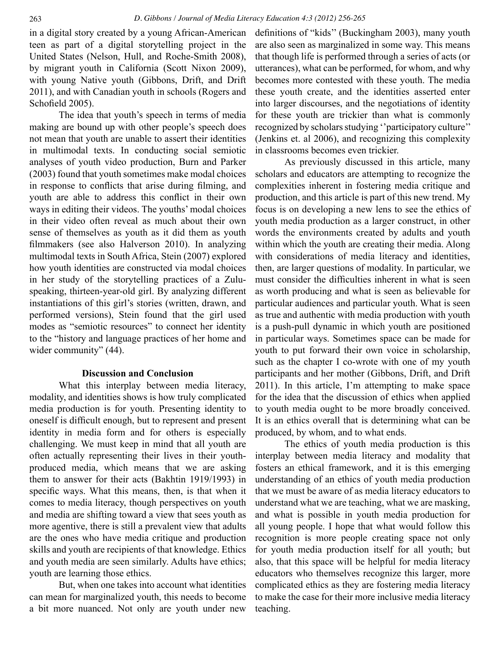in a digital story created by a young African-American teen as part of a digital storytelling project in the United States (Nelson, Hull, and Roche-Smith 2008), by migrant youth in California (Scott Nixon 2009), with young Native youth (Gibbons, Drift, and Drift 2011), and with Canadian youth in schools (Rogers and Schofield 2005).

The idea that youth's speech in terms of media making are bound up with other people's speech does not mean that youth are unable to assert their identities in multimodal texts. In conducting social semiotic analyses of youth video production, Burn and Parker (2003) found that youth sometimes make modal choices in response to conflicts that arise during filming, and youth are able to address this conflict in their own ways in editing their videos. The youths' modal choices in their video often reveal as much about their own sense of themselves as youth as it did them as youth filmmakers (see also Halverson 2010). In analyzing multimodal texts in South Africa, Stein (2007) explored how youth identities are constructed via modal choices in her study of the storytelling practices of a Zuluspeaking, thirteen-year-old girl. By analyzing different instantiations of this girl's stories (written, drawn, and performed versions), Stein found that the girl used modes as "semiotic resources" to connect her identity to the "history and language practices of her home and wider community" (44).

## **Discussion and Conclusion**

What this interplay between media literacy, modality, and identities shows is how truly complicated media production is for youth. Presenting identity to oneself is difficult enough, but to represent and present identity in media form and for others is especially challenging. We must keep in mind that all youth are often actually representing their lives in their youthproduced media, which means that we are asking them to answer for their acts (Bakhtin 1919/1993) in specific ways. What this means, then, is that when it comes to media literacy, though perspectives on youth and media are shifting toward a view that sees youth as more agentive, there is still a prevalent view that adults are the ones who have media critique and production skills and youth are recipients of that knowledge. Ethics and youth media are seen similarly. Adults have ethics; youth are learning those ethics.

But, when one takes into account what identities can mean for marginalized youth, this needs to become a bit more nuanced. Not only are youth under new definitions of "kids'' (Buckingham 2003), many youth are also seen as marginalized in some way. This means that though life is performed through a series of acts (or utterances), what can be performed, for whom, and why becomes more contested with these youth. The media these youth create, and the identities asserted enter into larger discourses, and the negotiations of identity for these youth are trickier than what is commonly recognized by scholars studying ''participatory culture'' (Jenkins et. al 2006), and recognizing this complexity in classrooms becomes even trickier.

As previously discussed in this article, many scholars and educators are attempting to recognize the complexities inherent in fostering media critique and production, and this article is part of this new trend. My focus is on developing a new lens to see the ethics of youth media production as a larger construct, in other words the environments created by adults and youth within which the youth are creating their media. Along with considerations of media literacy and identities, then, are larger questions of modality. In particular, we must consider the difficulties inherent in what is seen as worth producing and what is seen as believable for particular audiences and particular youth. What is seen as true and authentic with media production with youth is a push-pull dynamic in which youth are positioned in particular ways. Sometimes space can be made for youth to put forward their own voice in scholarship, such as the chapter I co-wrote with one of my youth participants and her mother (Gibbons, Drift, and Drift 2011). In this article, I'm attempting to make space for the idea that the discussion of ethics when applied to youth media ought to be more broadly conceived. It is an ethics overall that is determining what can be produced, by whom, and to what ends.

The ethics of youth media production is this interplay between media literacy and modality that fosters an ethical framework, and it is this emerging understanding of an ethics of youth media production that we must be aware of as media literacy educators to understand what we are teaching, what we are masking, and what is possible in youth media production for all young people. I hope that what would follow this recognition is more people creating space not only for youth media production itself for all youth; but also, that this space will be helpful for media literacy educators who themselves recognize this larger, more complicated ethics as they are fostering media literacy to make the case for their more inclusive media literacy teaching.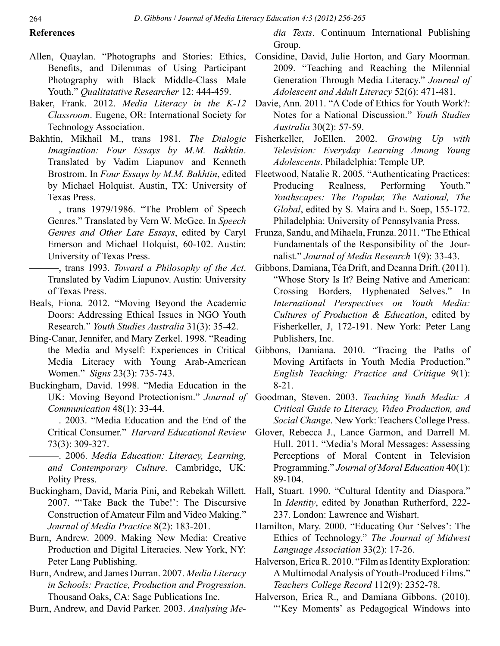#### **References**

- Allen, Quaylan. "Photographs and Stories: Ethics, Benefits, and Dilemmas of Using Participant Photography with Black Middle-Class Male Youth." *Qualitatative Researcher* 12: 444-459.
- Baker, Frank. 2012. *Media Literacy in the K-12 Classroom*. Eugene, OR: International Society for Technology Association.
- Bakhtin, Mikhail M., trans 1981. *The Dialogic Imagination: Four Essays by M.M. Bakhtin*. Translated by Vadim Liapunov and Kenneth Brostrom. In *Four Essays by M.M. Bakhtin*, edited by Michael Holquist. Austin, TX: University of Texas Press.
	- ———, trans 1979/1986. "The Problem of Speech Genres." Translated by Vern W. McGee. In *Speech Genres and Other Late Essays*, edited by Caryl Emerson and Michael Holquist, 60-102. Austin: University of Texas Press.
		- ———, trans 1993. *Toward a Philosophy of the Act*. Translated by Vadim Liapunov. Austin: University of Texas Press.
- Beals, Fiona. 2012. "Moving Beyond the Academic Doors: Addressing Ethical Issues in NGO Youth Research." *Youth Studies Australia* 31(3): 35-42.
- Bing-Canar, Jennifer, and Mary Zerkel. 1998. "Reading the Media and Myself: Experiences in Critical Media Literacy with Young Arab-American Women." *Signs* 23(3): 735-743.
- Buckingham, David. 1998. "Media Education in the *Communication* 48(1): 33-44.
- ———. 2003. "Media Education and the End of the Critical Consumer." *Harvard Educational Review*  73(3): 309-327.
	- ———. 2006. *Media Education: Literacy, Learning, and Contemporary Culture*. Cambridge, UK: Polity Press.
- Buckingham, David, Maria Pini, and Rebekah Willett. 2007. "'Take Back the Tube!': The Discursive Construction of Amateur Film and Video Making." *Journal of Media Practice* 8(2): 183-201.
- Burn, Andrew. 2009. Making New Media: Creative Production and Digital Literacies. New York, NY: Peter Lang Publishing.
- Burn, Andrew, and James Durran. 2007. *Media Literacy in Schools: Practice, Production and Progression*. Thousand Oaks, CA: Sage Publications Inc.

Burn, Andrew, and David Parker. 2003. *Analysing Me-*

*dia Texts*. Continuum International Publishing Group.

- Considine, David, Julie Horton, and Gary Moorman. 2009. "Teaching and Reaching the Milennial Generation Through Media Literacy." *Journal of Adolescent and Adult Literacy* 52(6): 471-481.
- Davie, Ann. 2011. "A Code of Ethics for Youth Work?: Notes for a National Discussion." *Youth Studies Australia* 30(2): 57-59.
- Fisherkeller, JoEllen. 2002. *Growing Up with Television: Everyday Learning Among Young Adolescents*. Philadelphia: Temple UP.
- Fleetwood, Natalie R. 2005. "Authenticating Practices: Producing Realness, Performing Youth." *Youthscapes: The Popular, The National, The Global*, edited by S. Maira and E. Soep, 155-172. Philadelphia: University of Pennsylvania Press.
- Frunza, Sandu, and Mihaela, Frunza. 2011. "The Ethical Fundamentals of the Responsibility of the Journalist." *Journal of Media Research* 1(9): 33-43.
- Gibbons, Damiana, Téa Drift, and Deanna Drift. (2011). "Whose Story Is It? Being Native and American: Crossing Borders, Hyphenated Selves." In *International Perspectives on Youth Media: Cultures of Production & Education*, edited by Fisherkeller, J, 172-191. New York: Peter Lang Publishers, Inc.
- Gibbons, Damiana. 2010. "Tracing the Paths of Moving Artifacts in Youth Media Production." *English Teaching: Practice and Critique* 9(1): 8-21.
- UK: Moving Beyond Protectionism." *Journal of*  Goodman, Steven. 2003. *Teaching Youth Media: A Critical Guide to Literacy, Video Production, and Social Change*. New York: Teachers College Press.
	- Glover, Rebecca J., Lance Garmon, and Darrell M. Hull. 2011. "Media's Moral Messages: Assessing Perceptions of Moral Content in Television Programming." *Journal of Moral Education* 40(1): 89-104.
	- Hall, Stuart. 1990. "Cultural Identity and Diaspora." In *Identity*, edited by Jonathan Rutherford, 222- 237. London: Lawrence and Wishart.
	- Hamilton, Mary. 2000. "Educating Our 'Selves': The Ethics of Technology." *The Journal of Midwest Language Association* 33(2): 17-26.
	- Halverson, Erica R. 2010. "Film as Identity Exploration: A Multimodal Analysis of Youth-Produced Films." *Teachers College Record* 112(9): 2352-78.
	- Halverson, Erica R., and Damiana Gibbons. (2010). "'Key Moments' as Pedagogical Windows into